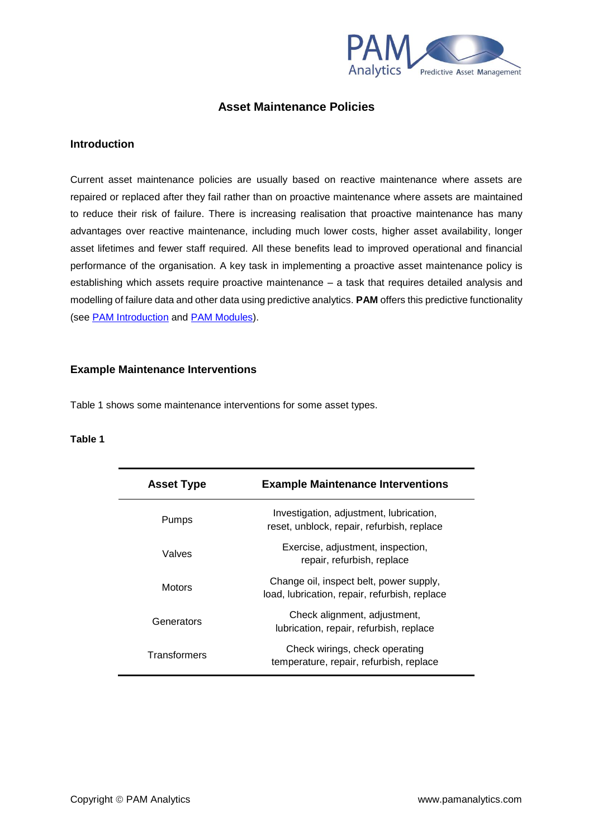

# **Asset Maintenance Policies**

# **Introduction**

Current asset maintenance policies are usually based on reactive maintenance where assets are repaired or replaced after they fail rather than on proactive maintenance where assets are maintained to reduce their risk of failure. There is increasing realisation that proactive maintenance has many advantages over reactive maintenance, including much lower costs, higher asset availability, longer asset lifetimes and fewer staff required. All these benefits lead to improved operational and financial performance of the organisation. A key task in implementing a proactive asset maintenance policy is establishing which assets require proactive maintenance – a task that requires detailed analysis and modelling of failure data and other data using predictive analytics. **PAM** offers this predictive functionality (see [PAM Introduction](http://www.pamanalytics.com/PAM_introduction.html) and [PAM Modules\)](http://www.pamanalytics.com/PAM_modules.html).

# **Example Maintenance Interventions**

Table 1 shows some maintenance interventions for some asset types.

#### **Table 1**

| <b>Asset Type</b> | <b>Example Maintenance Interventions</b>                                                 |
|-------------------|------------------------------------------------------------------------------------------|
| Pumps             | Investigation, adjustment, lubrication,<br>reset, unblock, repair, refurbish, replace    |
| Valves            | Exercise, adjustment, inspection,<br>repair, refurbish, replace                          |
| <b>Motors</b>     | Change oil, inspect belt, power supply,<br>load, lubrication, repair, refurbish, replace |
| Generators        | Check alignment, adjustment,<br>lubrication, repair, refurbish, replace                  |
| Transformers      | Check wirings, check operating<br>temperature, repair, refurbish, replace                |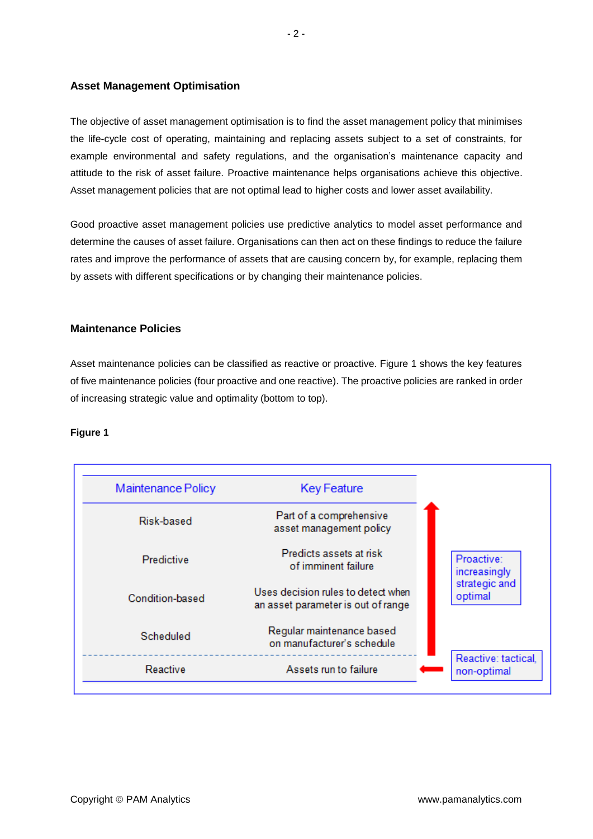# **Asset Management Optimisation**

The objective of asset management optimisation is to find the asset management policy that minimises the life-cycle cost of operating, maintaining and replacing assets subject to a set of constraints, for example environmental and safety regulations, and the organisation's maintenance capacity and attitude to the risk of asset failure. Proactive maintenance helps organisations achieve this objective. Asset management policies that are not optimal lead to higher costs and lower asset availability.

Good proactive asset management policies use predictive analytics to model asset performance and determine the causes of asset failure. Organisations can then act on these findings to reduce the failure rates and improve the performance of assets that are causing concern by, for example, replacing them by assets with different specifications or by changing their maintenance policies.

# **Maintenance Policies**

Asset maintenance policies can be classified as reactive or proactive. Figure 1 shows the key features of five maintenance policies (four proactive and one reactive). The proactive policies are ranked in order of increasing strategic value and optimality (bottom to top).

# **Figure 1**

| Maintenance Policy | <b>Key Feature</b>                                                       |                                    |
|--------------------|--------------------------------------------------------------------------|------------------------------------|
| Risk-based         | Part of a comprehensive<br>asset management policy                       |                                    |
| Predictive         | Predicts assets at risk<br>of imminent failure                           | Proactive:<br>increasingly         |
| Condition-based    | Uses decision rules to detect when<br>an asset parameter is out of range | strategic and<br>optimal           |
| Scheduled          | Regular maintenance based<br>on manufacturer's schedule                  |                                    |
| Reactive           | Assets run to failure                                                    | Reactive: tactical,<br>non-optimal |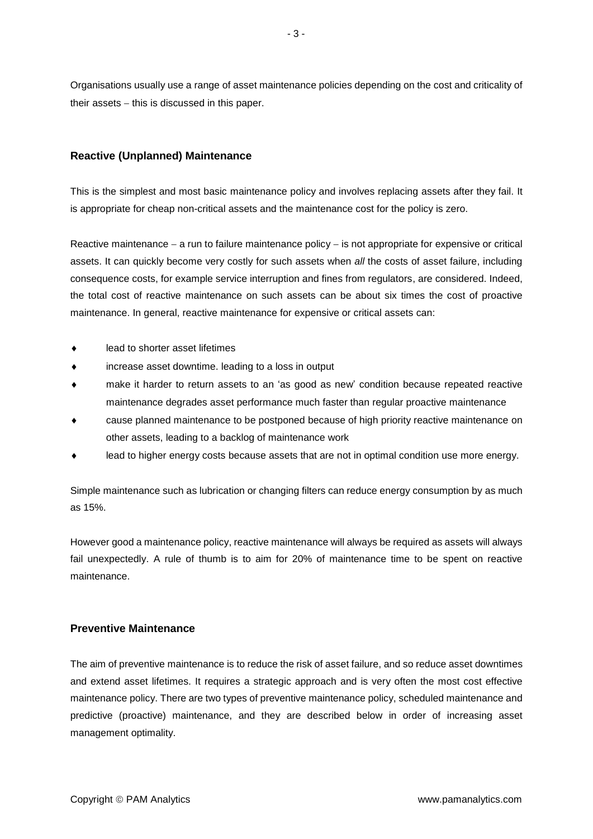Organisations usually use a range of asset maintenance policies depending on the cost and criticality of their assets − this is discussed in this paper.

# **Reactive (Unplanned) Maintenance**

This is the simplest and most basic maintenance policy and involves replacing assets after they fail. It is appropriate for cheap non-critical assets and the maintenance cost for the policy is zero.

Reactive maintenance – a run to failure maintenance policy – is not appropriate for expensive or critical assets. It can quickly become very costly for such assets when *all* the costs of asset failure, including consequence costs, for example service interruption and fines from regulators, are considered. Indeed, the total cost of reactive maintenance on such assets can be about six times the cost of proactive maintenance. In general, reactive maintenance for expensive or critical assets can:

- lead to shorter asset lifetimes
- increase asset downtime. leading to a loss in output
- make it harder to return assets to an 'as good as new' condition because repeated reactive maintenance degrades asset performance much faster than regular proactive maintenance
- cause planned maintenance to be postponed because of high priority reactive maintenance on other assets, leading to a backlog of maintenance work
- lead to higher energy costs because assets that are not in optimal condition use more energy.

Simple maintenance such as lubrication or changing filters can reduce energy consumption by as much as 15%.

However good a maintenance policy, reactive maintenance will always be required as assets will always fail unexpectedly. A rule of thumb is to aim for 20% of maintenance time to be spent on reactive maintenance.

# **Preventive Maintenance**

The aim of preventive maintenance is to reduce the risk of asset failure, and so reduce asset downtimes and extend asset lifetimes. It requires a strategic approach and is very often the most cost effective maintenance policy. There are two types of preventive maintenance policy, scheduled maintenance and predictive (proactive) maintenance, and they are described below in order of increasing asset management optimality.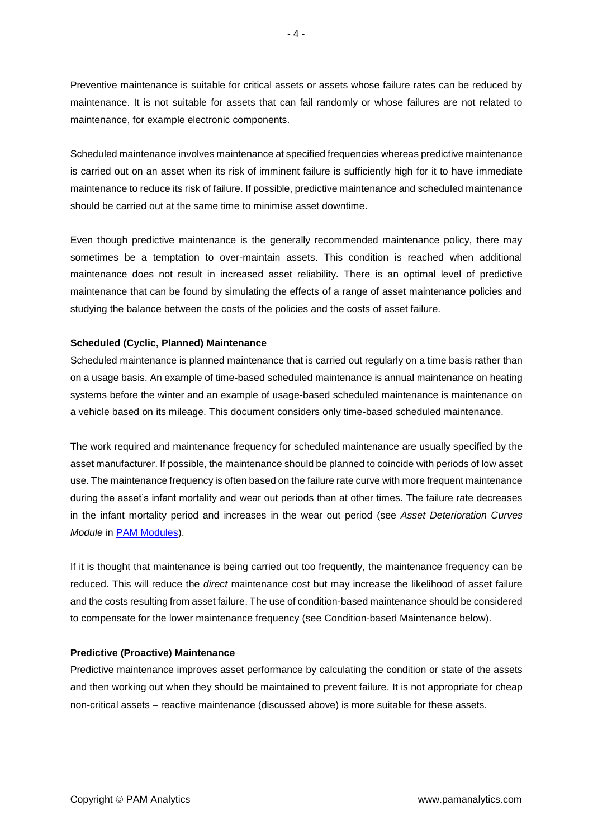Preventive maintenance is suitable for critical assets or assets whose failure rates can be reduced by maintenance. It is not suitable for assets that can fail randomly or whose failures are not related to maintenance, for example electronic components.

Scheduled maintenance involves maintenance at specified frequencies whereas predictive maintenance is carried out on an asset when its risk of imminent failure is sufficiently high for it to have immediate maintenance to reduce its risk of failure. If possible, predictive maintenance and scheduled maintenance should be carried out at the same time to minimise asset downtime.

Even though predictive maintenance is the generally recommended maintenance policy, there may sometimes be a temptation to over-maintain assets. This condition is reached when additional maintenance does not result in increased asset reliability. There is an optimal level of predictive maintenance that can be found by simulating the effects of a range of asset maintenance policies and studying the balance between the costs of the policies and the costs of asset failure.

#### **Scheduled (Cyclic, Planned) Maintenance**

Scheduled maintenance is planned maintenance that is carried out regularly on a time basis rather than on a usage basis. An example of time-based scheduled maintenance is annual maintenance on heating systems before the winter and an example of usage-based scheduled maintenance is maintenance on a vehicle based on its mileage. This document considers only time-based scheduled maintenance.

The work required and maintenance frequency for scheduled maintenance are usually specified by the asset manufacturer. If possible, the maintenance should be planned to coincide with periods of low asset use. The maintenance frequency is often based on the failure rate curve with more frequent maintenance during the asset's infant mortality and wear out periods than at other times. The failure rate decreases in the infant mortality period and increases in the wear out period (see *Asset Deterioration Curves Module* in [PAM Modules\)](http://www.pamanalytics.com/PAM_modules.html).

If it is thought that maintenance is being carried out too frequently, the maintenance frequency can be reduced. This will reduce the *direct* maintenance cost but may increase the likelihood of asset failure and the costs resulting from asset failure. The use of condition-based maintenance should be considered to compensate for the lower maintenance frequency (see Condition-based Maintenance below).

#### **Predictive (Proactive) Maintenance**

Predictive maintenance improves asset performance by calculating the condition or state of the assets and then working out when they should be maintained to prevent failure. It is not appropriate for cheap non-critical assets − reactive maintenance (discussed above) is more suitable for these assets.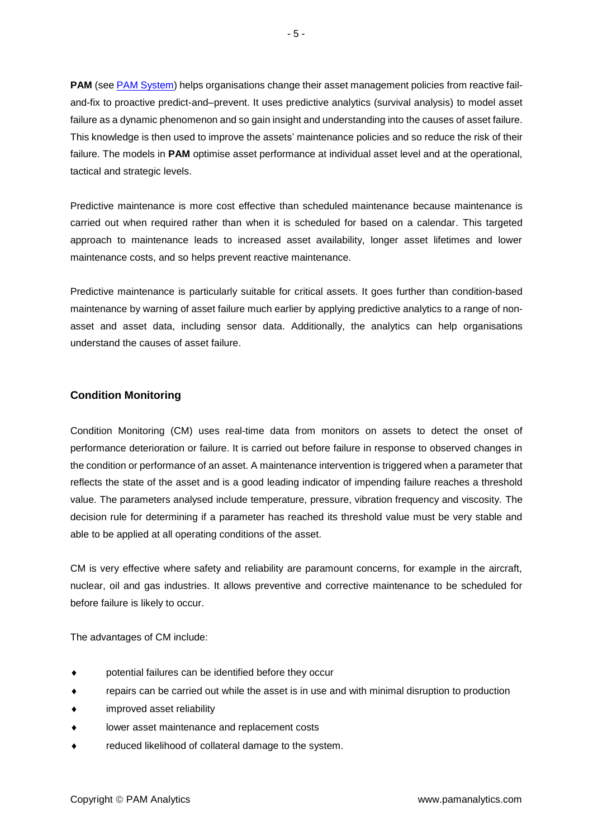**PAM** (see [PAM System\)](http://www.pamanalytics.com/PAM.html) helps organisations change their asset management policies from reactive failand-fix to proactive predict-and–prevent. It uses predictive analytics (survival analysis) to model asset failure as a dynamic phenomenon and so gain insight and understanding into the causes of asset failure. This knowledge is then used to improve the assets' maintenance policies and so reduce the risk of their failure. The models in **PAM** optimise asset performance at individual asset level and at the operational, tactical and strategic levels.

Predictive maintenance is more cost effective than scheduled maintenance because maintenance is carried out when required rather than when it is scheduled for based on a calendar. This targeted approach to maintenance leads to increased asset availability, longer asset lifetimes and lower maintenance costs, and so helps prevent reactive maintenance.

Predictive maintenance is particularly suitable for critical assets. It goes further than condition-based maintenance by warning of asset failure much earlier by applying predictive analytics to a range of nonasset and asset data, including sensor data. Additionally, the analytics can help organisations understand the causes of asset failure.

# **Condition Monitoring**

Condition Monitoring (CM) uses real-time data from monitors on assets to detect the onset of performance deterioration or failure. It is carried out before failure in response to observed changes in the condition or performance of an asset. A maintenance intervention is triggered when a parameter that reflects the state of the asset and is a good leading indicator of impending failure reaches a threshold value. The parameters analysed include temperature, pressure, vibration frequency and viscosity. The decision rule for determining if a parameter has reached its threshold value must be very stable and able to be applied at all operating conditions of the asset.

CM is very effective where safety and reliability are paramount concerns, for example in the aircraft, nuclear, oil and gas industries. It allows preventive and corrective maintenance to be scheduled for before failure is likely to occur.

The advantages of CM include:

- potential failures can be identified before they occur
- repairs can be carried out while the asset is in use and with minimal disruption to production
- improved asset reliability
- lower asset maintenance and replacement costs
- reduced likelihood of collateral damage to the system.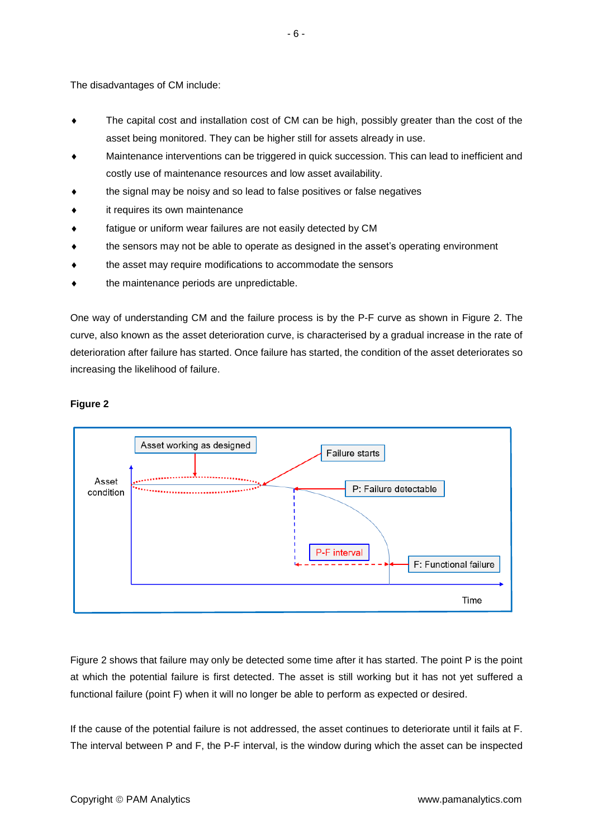The disadvantages of CM include:

- The capital cost and installation cost of CM can be high, possibly greater than the cost of the asset being monitored. They can be higher still for assets already in use.
- Maintenance interventions can be triggered in quick succession. This can lead to inefficient and costly use of maintenance resources and low asset availability.
- the signal may be noisy and so lead to false positives or false negatives
- it requires its own maintenance
- fatigue or uniform wear failures are not easily detected by CM
- the sensors may not be able to operate as designed in the asset's operating environment
- the asset may require modifications to accommodate the sensors
- the maintenance periods are unpredictable.

One way of understanding CM and the failure process is by the P-F curve as shown in Figure 2. The curve, also known as the asset deterioration curve, is characterised by a gradual increase in the rate of deterioration after failure has started. Once failure has started, the condition of the asset deteriorates so increasing the likelihood of failure.

# **Figure 2**



Figure 2 shows that failure may only be detected some time after it has started. The point P is the point at which the potential failure is first detected. The asset is still working but it has not yet suffered a functional failure (point F) when it will no longer be able to perform as expected or desired.

If the cause of the potential failure is not addressed, the asset continues to deteriorate until it fails at F. The interval between P and F, the P-F interval, is the window during which the asset can be inspected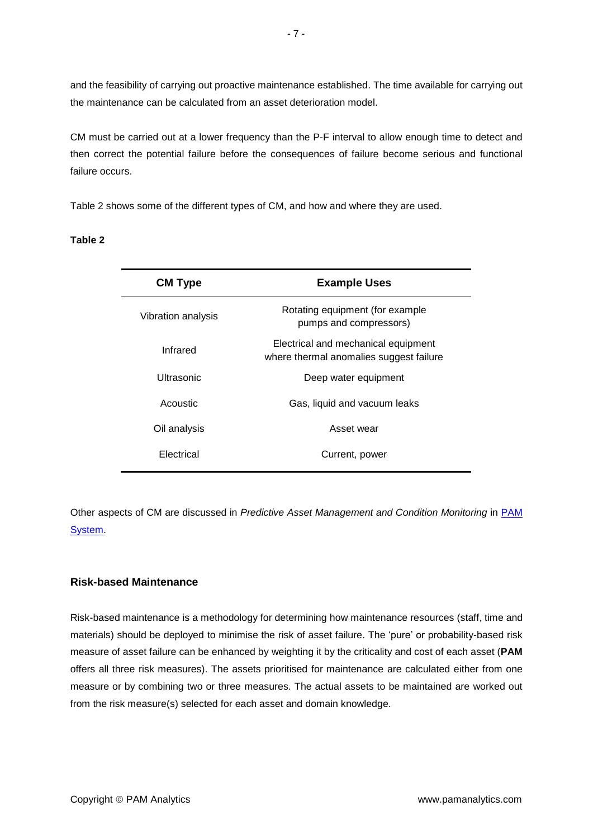and the feasibility of carrying out proactive maintenance established. The time available for carrying out the maintenance can be calculated from an asset deterioration model.

CM must be carried out at a lower frequency than the P-F interval to allow enough time to detect and then correct the potential failure before the consequences of failure become serious and functional failure occurs.

Table 2 shows some of the different types of CM, and how and where they are used.

#### **Table 2**

| <b>CM Type</b>     | <b>Example Uses</b>                                                            |
|--------------------|--------------------------------------------------------------------------------|
| Vibration analysis | Rotating equipment (for example<br>pumps and compressors)                      |
| Infrared           | Electrical and mechanical equipment<br>where thermal anomalies suggest failure |
| Ultrasonic         | Deep water equipment                                                           |
| Acoustic           | Gas, liquid and vacuum leaks                                                   |
| Oil analysis       | Asset wear                                                                     |
| Electrical         | Current, power                                                                 |

Other aspects of CM are discussed in *Predictive Asset Management and Condition Monitoring* in [PAM](http://www.pamanalytics.com/PAM.html)  [System.](http://www.pamanalytics.com/PAM.html)

# **Risk-based Maintenance**

Risk-based maintenance is a methodology for determining how maintenance resources (staff, time and materials) should be deployed to minimise the risk of asset failure. The 'pure' or probability-based risk measure of asset failure can be enhanced by weighting it by the criticality and cost of each asset (**PAM** offers all three risk measures). The assets prioritised for maintenance are calculated either from one measure or by combining two or three measures. The actual assets to be maintained are worked out from the risk measure(s) selected for each asset and domain knowledge.